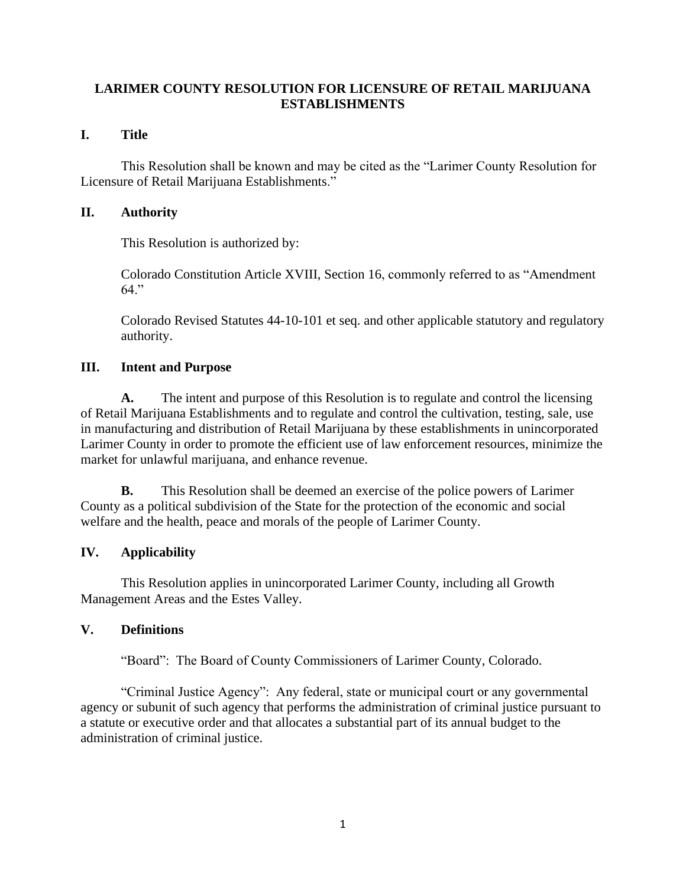#### **LARIMER COUNTY RESOLUTION FOR LICENSURE OF RETAIL MARIJUANA ESTABLISHMENTS**

#### **I. Title**

 Licensure of Retail Marijuana Establishments." This Resolution shall be known and may be cited as the "Larimer County Resolution for

#### **II. Authority**

This Resolution is authorized by:

Colorado Constitution Article XVIII, Section 16, commonly referred to as "Amendment 64."

Colorado Revised Statutes 44-10-101 et seq. and other applicable statutory and regulatory authority.

#### **III. Intent and Purpose**

**A.** The intent and purpose of this Resolution is to regulate and control the licensing of Retail Marijuana Establishments and to regulate and control the cultivation, testing, sale, use in manufacturing and distribution of Retail Marijuana by these establishments in unincorporated Larimer County in order to promote the efficient use of law enforcement resources, minimize the market for unlawful marijuana, and enhance revenue.

**B.** This Resolution shall be deemed an exercise of the police powers of Larimer County as a political subdivision of the State for the protection of the economic and social welfare and the health, peace and morals of the people of Larimer County.

#### **IV. Applicability**

This Resolution applies in unincorporated Larimer County, including all Growth Management Areas and the Estes Valley.

#### **V. Definitions**

"Board": The Board of County Commissioners of Larimer County, Colorado.

"Criminal Justice Agency": Any federal, state or municipal court or any governmental agency or subunit of such agency that performs the administration of criminal justice pursuant to a statute or executive order and that allocates a substantial part of its annual budget to the administration of criminal justice.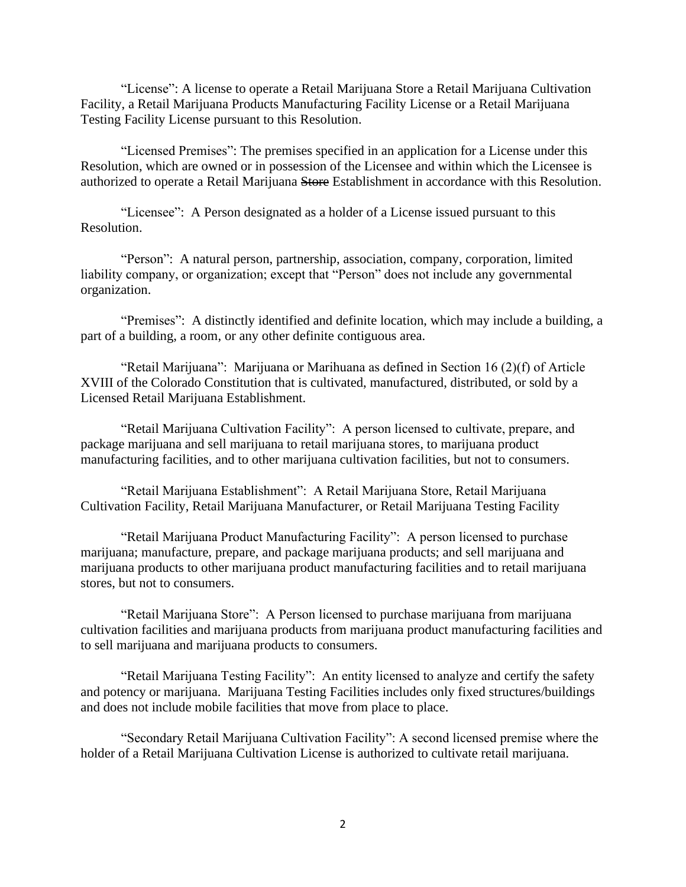"License": A license to operate a Retail Marijuana Store a Retail Marijuana Cultivation Facility, a Retail Marijuana Products Manufacturing Facility License or a Retail Marijuana Testing Facility License pursuant to this Resolution.

Resolution, which are owned or in possession of the Licensee and within which the Licensee is<br>authorized to operate a Retail Marijuana <del>Store</del> Establishment in accordance with this Resolution. "Licensed Premises": The premises specified in an application for a License under this Resolution, which are owned or in possession of the Licensee and within which the Licensee is

"Licensee": A Person designated as a holder of a License issued pursuant to this Resolution.

"Person": A natural person, partnership, association, company, corporation, limited liability company, or organization; except that "Person" does not include any governmental organization.

"Premises": A distinctly identified and definite location, which may include a building, a part of a building, a room, or any other definite contiguous area.

"Retail Marijuana": Marijuana or Marihuana as defined in Section 16 (2)(f) of Article XVIII of the Colorado Constitution that is cultivated, manufactured, distributed, or sold by a Licensed Retail Marijuana Establishment.

"Retail Marijuana Cultivation Facility": A person licensed to cultivate, prepare, and package marijuana and sell marijuana to retail marijuana stores, to marijuana product manufacturing facilities, and to other marijuana cultivation facilities, but not to consumers.

"Retail Marijuana Establishment": A Retail Marijuana Store, Retail Marijuana Cultivation Facility, Retail Marijuana Manufacturer, or Retail Marijuana Testing Facility

"Retail Marijuana Product Manufacturing Facility": A person licensed to purchase marijuana; manufacture, prepare, and package marijuana products; and sell marijuana and marijuana products to other marijuana product manufacturing facilities and to retail marijuana stores, but not to consumers.

"Retail Marijuana Store": A Person licensed to purchase marijuana from marijuana cultivation facilities and marijuana products from marijuana product manufacturing facilities and to sell marijuana and marijuana products to consumers.

"Retail Marijuana Testing Facility": An entity licensed to analyze and certify the safety and potency or marijuana. Marijuana Testing Facilities includes only fixed structures/buildings and does not include mobile facilities that move from place to place.

"Secondary Retail Marijuana Cultivation Facility": A second licensed premise where the holder of a Retail Marijuana Cultivation License is authorized to cultivate retail marijuana.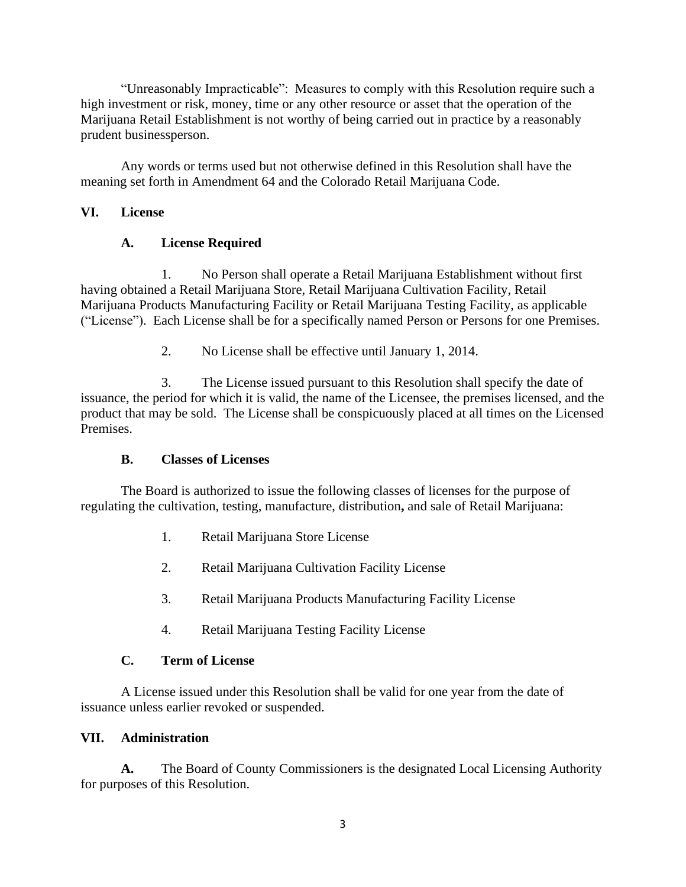"Unreasonably Impracticable": Measures to comply with this Resolution require such a high investment or risk, money, time or any other resource or asset that the operation of the Marijuana Retail Establishment is not worthy of being carried out in practice by a reasonably prudent businessperson.

Any words or terms used but not otherwise defined in this Resolution shall have the meaning set forth in Amendment 64 and the Colorado Retail Marijuana Code.

### **VI. License**

## **A. License Required**

1. No Person shall operate a Retail Marijuana Establishment without first having obtained a Retail Marijuana Store, Retail Marijuana Cultivation Facility, Retail Marijuana Products Manufacturing Facility or Retail Marijuana Testing Facility, as applicable ("License"). Each License shall be for a specifically named Person or Persons for one Premises.

2. No License shall be effective until January 1, 2014.

3. The License issued pursuant to this Resolution shall specify the date of issuance, the period for which it is valid, the name of the Licensee, the premises licensed, and the product that may be sold. The License shall be conspicuously placed at all times on the Licensed Premises.

#### **B. Classes of Licenses**

The Board is authorized to issue the following classes of licenses for the purpose of regulating the cultivation, testing, manufacture, distribution**,** and sale of Retail Marijuana:

- 1. Retail Marijuana Store License
- 2. Retail Marijuana Cultivation Facility License
- 3. Retail Marijuana Products Manufacturing Facility License
- 4. Retail Marijuana Testing Facility License

#### **C. Term of License**

A License issued under this Resolution shall be valid for one year from the date of issuance unless earlier revoked or suspended.

#### **VII. Administration**

**A.** The Board of County Commissioners is the designated Local Licensing Authority for purposes of this Resolution.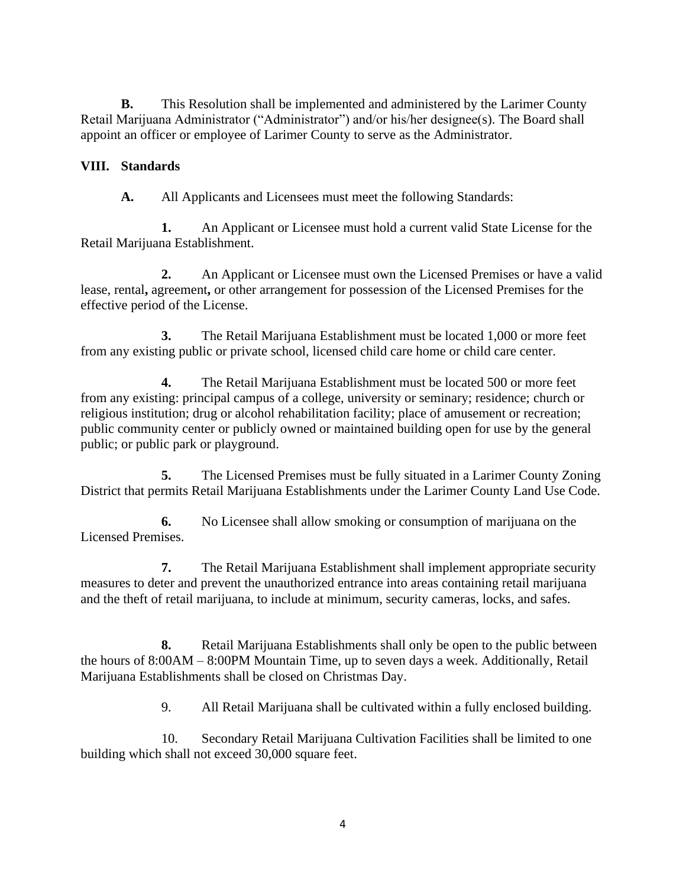**B.** This Resolution shall be implemented and administered by the Larimer County Retail Marijuana Administrator ("Administrator") and/or his/her designee(s). The Board shall appoint an officer or employee of Larimer County to serve as the Administrator.

## **VIII. Standards**

**A.** All Applicants and Licensees must meet the following Standards:

**1.** An Applicant or Licensee must hold a current valid State License for the Retail Marijuana Establishment.

**2.** An Applicant or Licensee must own the Licensed Premises or have a valid lease, rental**,** agreement**,** or other arrangement for possession of the Licensed Premises for the effective period of the License.

**3.** The Retail Marijuana Establishment must be located 1,000 or more feet from any existing public or private school, licensed child care home or child care center.

**4.** The Retail Marijuana Establishment must be located 500 or more feet from any existing: principal campus of a college, university or seminary; residence; church or religious institution; drug or alcohol rehabilitation facility; place of amusement or recreation; public community center or publicly owned or maintained building open for use by the general public; or public park or playground.

**5.** The Licensed Premises must be fully situated in a Larimer County Zoning District that permits Retail Marijuana Establishments under the Larimer County Land Use Code.

**6.** No Licensee shall allow smoking or consumption of marijuana on the Licensed Premises.

**7.** The Retail Marijuana Establishment shall implement appropriate security measures to deter and prevent the unauthorized entrance into areas containing retail marijuana and the theft of retail marijuana, to include at minimum, security cameras, locks, and safes.

**8.** Retail Marijuana Establishments shall only be open to the public between the hours of 8:00AM – 8:00PM Mountain Time, up to seven days a week. Additionally, Retail Marijuana Establishments shall be closed on Christmas Day.

9. All Retail Marijuana shall be cultivated within a fully enclosed building.

10. Secondary Retail Marijuana Cultivation Facilities shall be limited to one building which shall not exceed 30,000 square feet.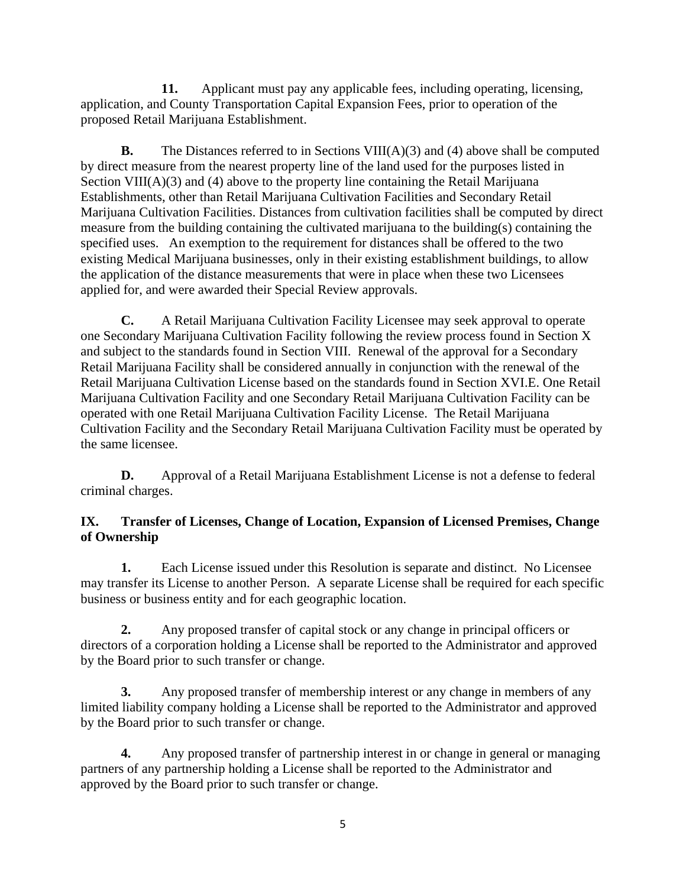**11.** Applicant must pay any applicable fees, including operating, licensing, application, and County Transportation Capital Expansion Fees, prior to operation of the proposed Retail Marijuana Establishment.

 specified uses. An exemption to the requirement for distances shall be offered to the two **B.** The Distances referred to in Sections VIII(A)(3) and (4) above shall be computed by direct measure from the nearest property line of the land used for the purposes listed in Section VIII(A)(3) and (4) above to the property line containing the Retail Marijuana Establishments, other than Retail Marijuana Cultivation Facilities and Secondary Retail Marijuana Cultivation Facilities. Distances from cultivation facilities shall be computed by direct measure from the building containing the cultivated marijuana to the building(s) containing the existing Medical Marijuana businesses, only in their existing establishment buildings, to allow the application of the distance measurements that were in place when these two Licensees applied for, and were awarded their Special Review approvals.

**C.** A Retail Marijuana Cultivation Facility Licensee may seek approval to operate one Secondary Marijuana Cultivation Facility following the review process found in Section X and subject to the standards found in Section VIII. Renewal of the approval for a Secondary Retail Marijuana Facility shall be considered annually in conjunction with the renewal of the Retail Marijuana Cultivation License based on the standards found in Section XVI.E. One Retail Marijuana Cultivation Facility and one Secondary Retail Marijuana Cultivation Facility can be operated with one Retail Marijuana Cultivation Facility License. The Retail Marijuana Cultivation Facility and the Secondary Retail Marijuana Cultivation Facility must be operated by the same licensee.

**D.** Approval of a Retail Marijuana Establishment License is not a defense to federal criminal charges.

## **IX. Transfer of Licenses, Change of Location, Expansion of Licensed Premises, Change of Ownership**

**1.** Each License issued under this Resolution is separate and distinct. No Licensee may transfer its License to another Person. A separate License shall be required for each specific business or business entity and for each geographic location.

**2.** Any proposed transfer of capital stock or any change in principal officers or directors of a corporation holding a License shall be reported to the Administrator and approved by the Board prior to such transfer or change.

**3.** Any proposed transfer of membership interest or any change in members of any limited liability company holding a License shall be reported to the Administrator and approved by the Board prior to such transfer or change.

**4.** Any proposed transfer of partnership interest in or change in general or managing partners of any partnership holding a License shall be reported to the Administrator and approved by the Board prior to such transfer or change.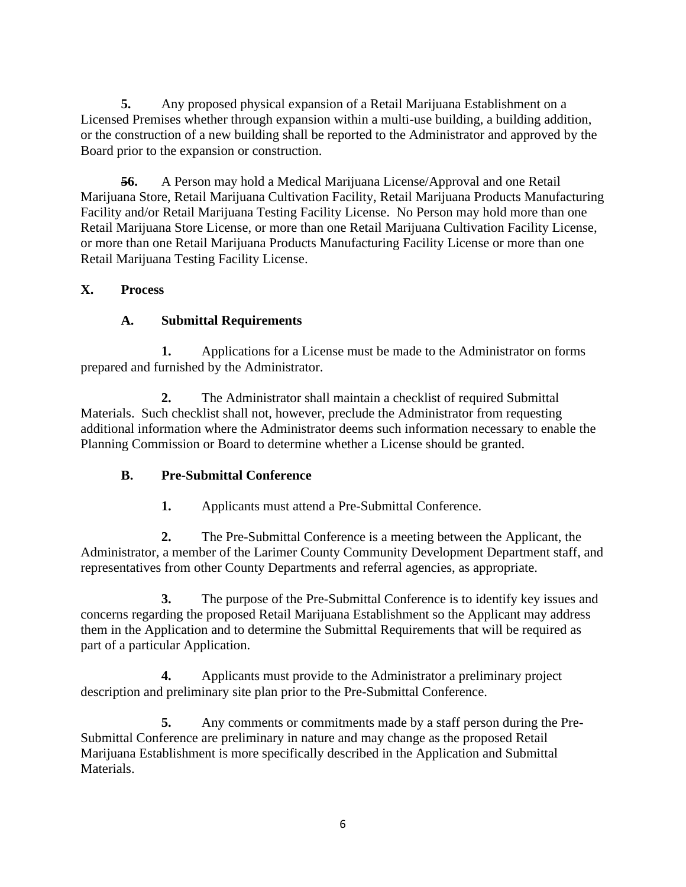**5.** Any proposed physical expansion of a Retail Marijuana Establishment on a Licensed Premises whether through expansion within a multi-use building, a building addition, or the construction of a new building shall be reported to the Administrator and approved by the Board prior to the expansion or construction.

56. **56.** A Person may hold a Medical Marijuana License/Approval and one Retail Marijuana Store, Retail Marijuana Cultivation Facility, Retail Marijuana Products Manufacturing Facility and/or Retail Marijuana Testing Facility License. No Person may hold more than one Retail Marijuana Store License, or more than one Retail Marijuana Cultivation Facility License, or more than one Retail Marijuana Products Manufacturing Facility License or more than one Retail Marijuana Testing Facility License.

# **X. Process**

# **A. Submittal Requirements**

**1.** Applications for a License must be made to the Administrator on forms prepared and furnished by the Administrator.

**2.** The Administrator shall maintain a checklist of required Submittal Materials. Such checklist shall not, however, preclude the Administrator from requesting additional information where the Administrator deems such information necessary to enable the Planning Commission or Board to determine whether a License should be granted.

# **B. Pre-Submittal Conference**

**1.** Applicants must attend a Pre-Submittal Conference.

**2.** The Pre-Submittal Conference is a meeting between the Applicant, the Administrator, a member of the Larimer County Community Development Department staff, and representatives from other County Departments and referral agencies, as appropriate.

**3.** The purpose of the Pre-Submittal Conference is to identify key issues and concerns regarding the proposed Retail Marijuana Establishment so the Applicant may address them in the Application and to determine the Submittal Requirements that will be required as part of a particular Application.

**4.** Applicants must provide to the Administrator a preliminary project description and preliminary site plan prior to the Pre-Submittal Conference.

**5.** Any comments or commitments made by a staff person during the Pre-Submittal Conference are preliminary in nature and may change as the proposed Retail Marijuana Establishment is more specifically described in the Application and Submittal Materials.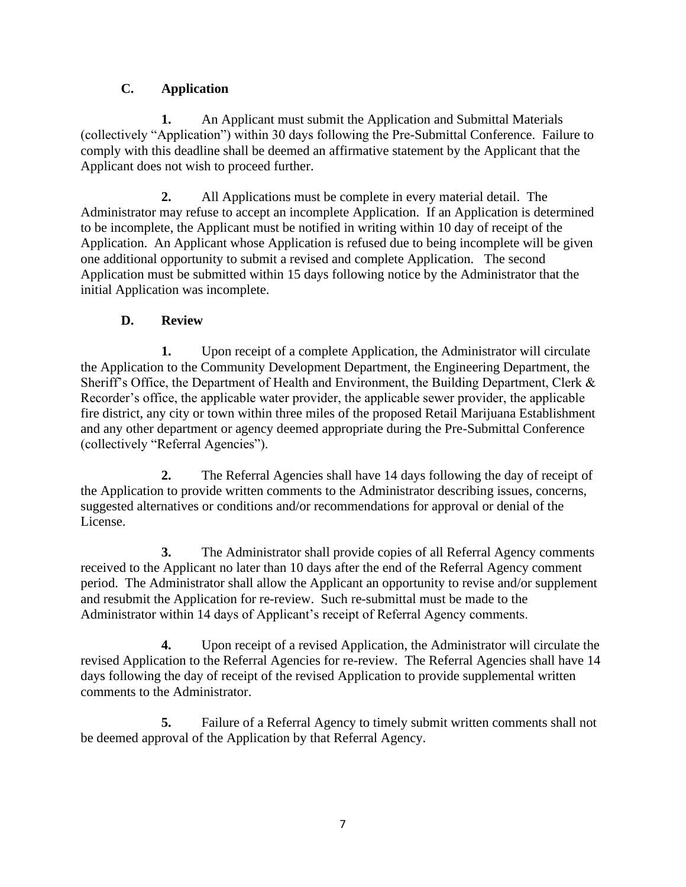# **C. Application**

**1.** An Applicant must submit the Application and Submittal Materials (collectively "Application") within 30 days following the Pre-Submittal Conference. Failure to comply with this deadline shall be deemed an affirmative statement by the Applicant that the Applicant does not wish to proceed further.

**2.** All Applications must be complete in every material detail. The Administrator may refuse to accept an incomplete Application. If an Application is determined to be incomplete, the Applicant must be notified in writing within 10 day of receipt of the Application. An Applicant whose Application is refused due to being incomplete will be given one additional opportunity to submit a revised and complete Application. The second Application must be submitted within 15 days following notice by the Administrator that the initial Application was incomplete.

# **D. Review**

**1.** Upon receipt of a complete Application, the Administrator will circulate the Application to the Community Development Department, the Engineering Department, the Sheriff's Office, the Department of Health and Environment, the Building Department, Clerk & Recorder's office, the applicable water provider, the applicable sewer provider, the applicable fire district, any city or town within three miles of the proposed Retail Marijuana Establishment and any other department or agency deemed appropriate during the Pre-Submittal Conference (collectively "Referral Agencies").

**2.** The Referral Agencies shall have 14 days following the day of receipt of the Application to provide written comments to the Administrator describing issues, concerns, suggested alternatives or conditions and/or recommendations for approval or denial of the License.

**3.** The Administrator shall provide copies of all Referral Agency comments received to the Applicant no later than 10 days after the end of the Referral Agency comment period. The Administrator shall allow the Applicant an opportunity to revise and/or supplement and resubmit the Application for re-review. Such re-submittal must be made to the Administrator within 14 days of Applicant's receipt of Referral Agency comments.

**4.** Upon receipt of a revised Application, the Administrator will circulate the revised Application to the Referral Agencies for re-review. The Referral Agencies shall have 14 days following the day of receipt of the revised Application to provide supplemental written comments to the Administrator.

**5.** Failure of a Referral Agency to timely submit written comments shall not be deemed approval of the Application by that Referral Agency.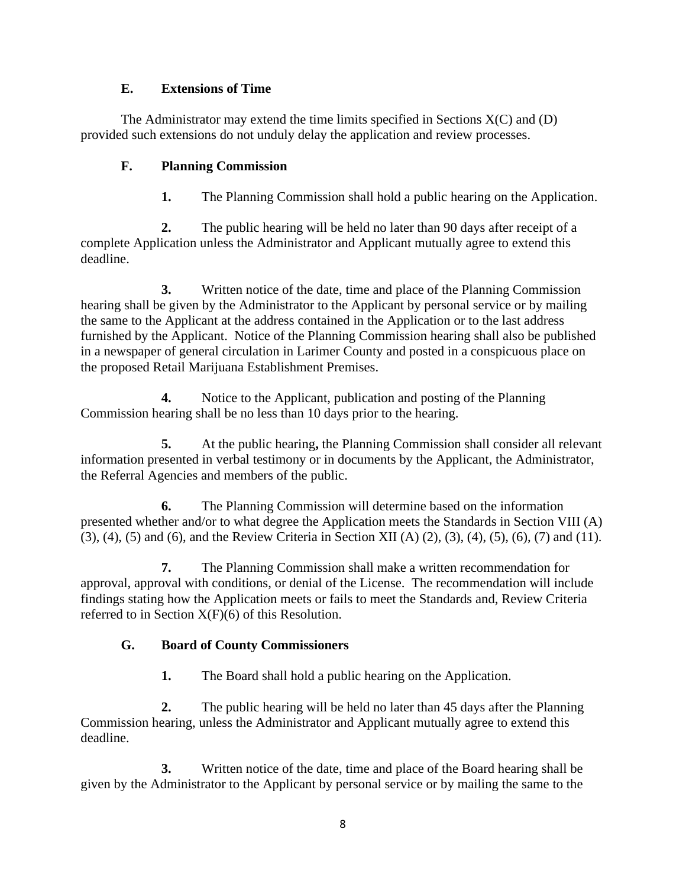### **E. Extensions of Time**

The Administrator may extend the time limits specified in Sections  $X(C)$  and  $(D)$ provided such extensions do not unduly delay the application and review processes.

# **F. Planning Commission**

**1.** The Planning Commission shall hold a public hearing on the Application.

**2.** The public hearing will be held no later than 90 days after receipt of a complete Application unless the Administrator and Applicant mutually agree to extend this deadline.

**3.** Written notice of the date, time and place of the Planning Commission hearing shall be given by the Administrator to the Applicant by personal service or by mailing the same to the Applicant at the address contained in the Application or to the last address furnished by the Applicant. Notice of the Planning Commission hearing shall also be published in a newspaper of general circulation in Larimer County and posted in a conspicuous place on the proposed Retail Marijuana Establishment Premises.

**4.** Notice to the Applicant, publication and posting of the Planning Commission hearing shall be no less than 10 days prior to the hearing.

**5.** At the public hearing**,** the Planning Commission shall consider all relevant information presented in verbal testimony or in documents by the Applicant, the Administrator, the Referral Agencies and members of the public.

**6.** The Planning Commission will determine based on the information presented whether and/or to what degree the Application meets the Standards in Section VIII (A) (3), (4), (5) and (6), and the Review Criteria in Section XII (A) (2), (3), (4), (5), (6), (7) and (11).

**7.** The Planning Commission shall make a written recommendation for approval, approval with conditions, or denial of the License. The recommendation will include findings stating how the Application meets or fails to meet the Standards and, Review Criteria referred to in Section  $X(F)(6)$  of this Resolution.

# **G. Board of County Commissioners**

**1.** The Board shall hold a public hearing on the Application.

**2.** The public hearing will be held no later than 45 days after the Planning Commission hearing, unless the Administrator and Applicant mutually agree to extend this deadline.

**3.** Written notice of the date, time and place of the Board hearing shall be given by the Administrator to the Applicant by personal service or by mailing the same to the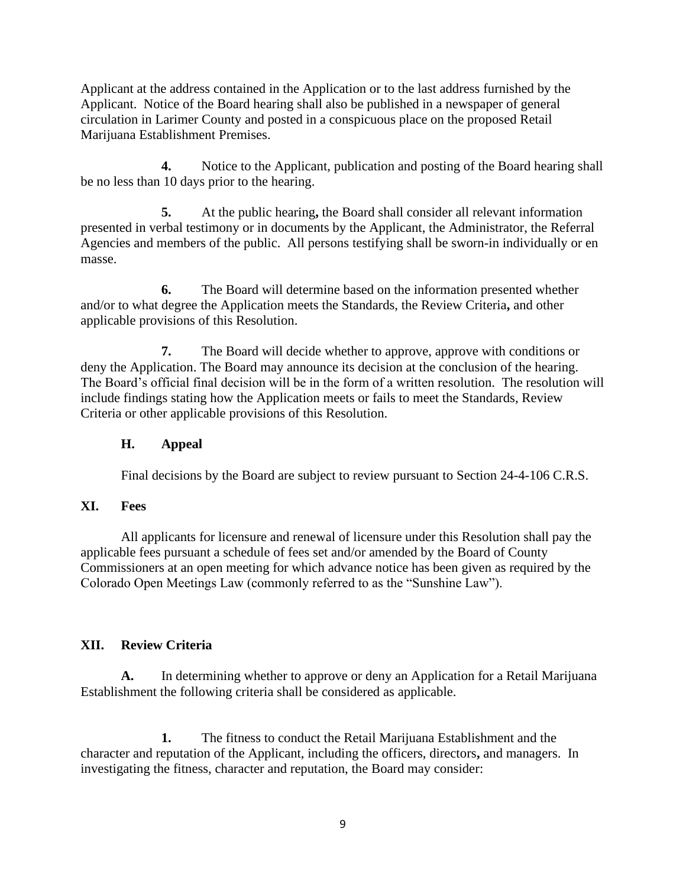Applicant at the address contained in the Application or to the last address furnished by the Applicant. Notice of the Board hearing shall also be published in a newspaper of general circulation in Larimer County and posted in a conspicuous place on the proposed Retail Marijuana Establishment Premises.

**4.** Notice to the Applicant, publication and posting of the Board hearing shall be no less than 10 days prior to the hearing.

**5.** At the public hearing**,** the Board shall consider all relevant information presented in verbal testimony or in documents by the Applicant, the Administrator, the Referral Agencies and members of the public. All persons testifying shall be sworn-in individually or en masse.

**6.** The Board will determine based on the information presented whether and/or to what degree the Application meets the Standards, the Review Criteria**,** and other applicable provisions of this Resolution.

**7.** The Board will decide whether to approve, approve with conditions or deny the Application. The Board may announce its decision at the conclusion of the hearing. The Board's official final decision will be in the form of a written resolution. The resolution will include findings stating how the Application meets or fails to meet the Standards, Review Criteria or other applicable provisions of this Resolution.

### **H. Appeal**

Final decisions by the Board are subject to review pursuant to Section 24-4-106 C.R.S.

#### **XI. Fees**

All applicants for licensure and renewal of licensure under this Resolution shall pay the applicable fees pursuant a schedule of fees set and/or amended by the Board of County Commissioners at an open meeting for which advance notice has been given as required by the Colorado Open Meetings Law (commonly referred to as the "Sunshine Law").

# **XII. Review Criteria**

**A.** In determining whether to approve or deny an Application for a Retail Marijuana Establishment the following criteria shall be considered as applicable.

**1.** The fitness to conduct the Retail Marijuana Establishment and the character and reputation of the Applicant, including the officers, directors**,** and managers. In investigating the fitness, character and reputation, the Board may consider: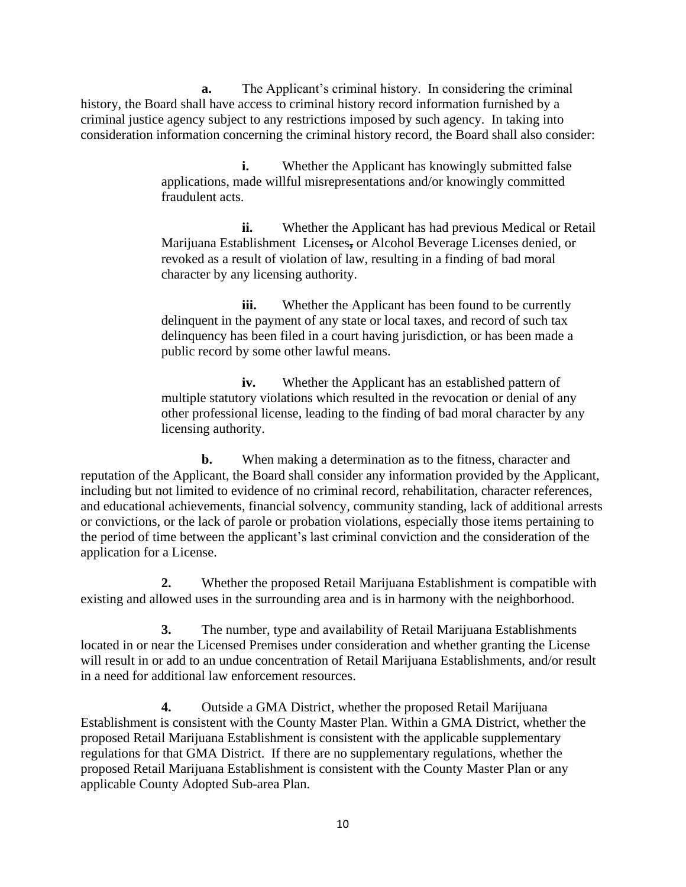**a.** The Applicant's criminal history. In considering the criminal history, the Board shall have access to criminal history record information furnished by a criminal justice agency subject to any restrictions imposed by such agency. In taking into consideration information concerning the criminal history record, the Board shall also consider:

> **i.** Whether the Applicant has knowingly submitted false applications, made willful misrepresentations and/or knowingly committed fraudulent acts.

- Marijuana Establishment Licenses**,** or Alcohol Beverage Licenses denied, or **ii.** Whether the Applicant has had previous Medical or Retail revoked as a result of violation of law, resulting in a finding of bad moral character by any licensing authority.

 delinquency has been filed in a court having jurisdiction, or has been made a **iii.** Whether the Applicant has been found to be currently delinquent in the payment of any state or local taxes, and record of such tax public record by some other lawful means.

**iv.** Whether the Applicant has an established pattern of multiple statutory violations which resulted in the revocation or denial of any other professional license, leading to the finding of bad moral character by any licensing authority.

 application for a License. **b.** When making a determination as to the fitness, character and reputation of the Applicant, the Board shall consider any information provided by the Applicant, including but not limited to evidence of no criminal record, rehabilitation, character references, and educational achievements, financial solvency, community standing, lack of additional arrests or convictions, or the lack of parole or probation violations, especially those items pertaining to the period of time between the applicant's last criminal conviction and the consideration of the

**2.** Whether the proposed Retail Marijuana Establishment is compatible with existing and allowed uses in the surrounding area and is in harmony with the neighborhood.

**3.** The number, type and availability of Retail Marijuana Establishments located in or near the Licensed Premises under consideration and whether granting the License will result in or add to an undue concentration of Retail Marijuana Establishments, and/or result in a need for additional law enforcement resources.

**4.** Outside a GMA District, whether the proposed Retail Marijuana Establishment is consistent with the County Master Plan. Within a GMA District, whether the proposed Retail Marijuana Establishment is consistent with the applicable supplementary regulations for that GMA District. If there are no supplementary regulations, whether the proposed Retail Marijuana Establishment is consistent with the County Master Plan or any applicable County Adopted Sub-area Plan.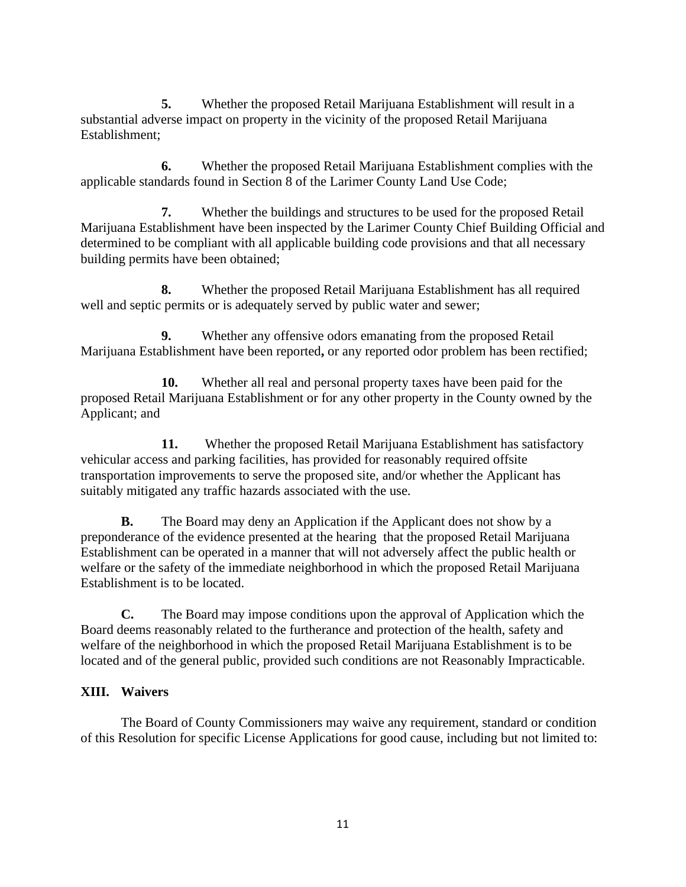**5.** Whether the proposed Retail Marijuana Establishment will result in a substantial adverse impact on property in the vicinity of the proposed Retail Marijuana Establishment;

 applicable standards found in Section 8 of the Larimer County Land Use Code; **6.** Whether the proposed Retail Marijuana Establishment complies with the

**7.** Whether the buildings and structures to be used for the proposed Retail Marijuana Establishment have been inspected by the Larimer County Chief Building Official and determined to be compliant with all applicable building code provisions and that all necessary building permits have been obtained;

**8.** Whether the proposed Retail Marijuana Establishment has all required well and septic permits or is adequately served by public water and sewer;

**9.** Whether any offensive odors emanating from the proposed Retail Marijuana Establishment have been reported**,** or any reported odor problem has been rectified;

**10.** Whether all real and personal property taxes have been paid for the proposed Retail Marijuana Establishment or for any other property in the County owned by the Applicant; and

**11.** Whether the proposed Retail Marijuana Establishment has satisfactory vehicular access and parking facilities, has provided for reasonably required offsite transportation improvements to serve the proposed site, and/or whether the Applicant has suitably mitigated any traffic hazards associated with the use.

 preponderance of the evidence presented at the hearing that the proposed Retail Marijuana **B.** The Board may deny an Application if the Applicant does not show by a Establishment can be operated in a manner that will not adversely affect the public health or welfare or the safety of the immediate neighborhood in which the proposed Retail Marijuana Establishment is to be located.

**C.** The Board may impose conditions upon the approval of Application which the Board deems reasonably related to the furtherance and protection of the health, safety and welfare of the neighborhood in which the proposed Retail Marijuana Establishment is to be located and of the general public, provided such conditions are not Reasonably Impracticable.

# **XIII. Waivers**

The Board of County Commissioners may waive any requirement, standard or condition of this Resolution for specific License Applications for good cause, including but not limited to: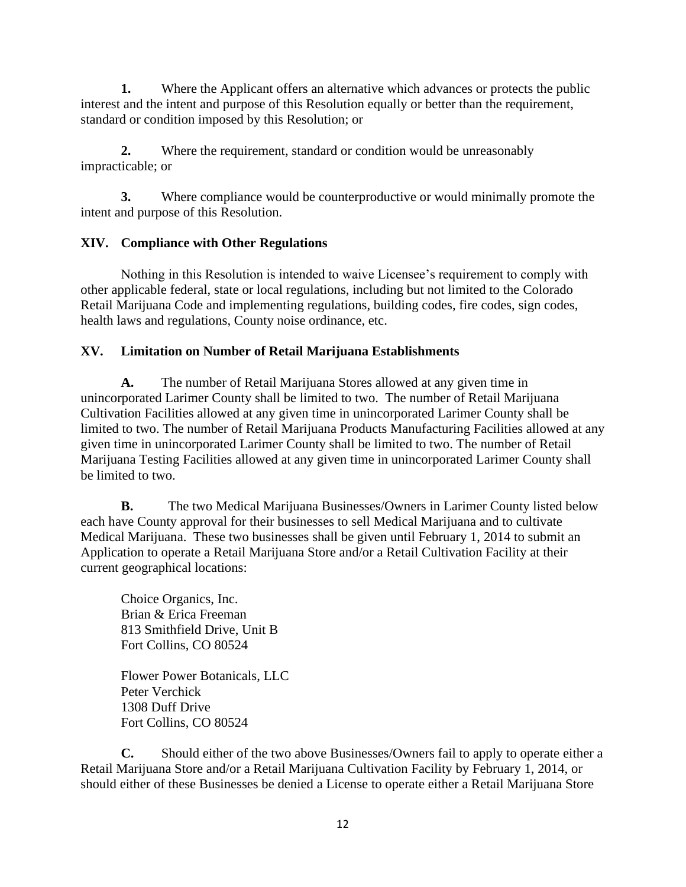**1.** Where the Applicant offers an alternative which advances or protects the public interest and the intent and purpose of this Resolution equally or better than the requirement, standard or condition imposed by this Resolution; or

**2.** Where the requirement, standard or condition would be unreasonably impracticable; or

 **3.** Where compliance would be counterproductive or would minimally promote the intent and purpose of this Resolution.

# **XIV. Compliance with Other Regulations**

Nothing in this Resolution is intended to waive Licensee's requirement to comply with other applicable federal, state or local regulations, including but not limited to the Colorado Retail Marijuana Code and implementing regulations, building codes, fire codes, sign codes, health laws and regulations, County noise ordinance, etc.

## **XV. Limitation on Number of Retail Marijuana Establishments**

**A.** The number of Retail Marijuana Stores allowed at any given time in unincorporated Larimer County shall be limited to two. The number of Retail Marijuana Cultivation Facilities allowed at any given time in unincorporated Larimer County shall be limited to two. The number of Retail Marijuana Products Manufacturing Facilities allowed at any given time in unincorporated Larimer County shall be limited to two. The number of Retail Marijuana Testing Facilities allowed at any given time in unincorporated Larimer County shall be limited to two.

**B.** The two Medical Marijuana Businesses/Owners in Larimer County listed below each have County approval for their businesses to sell Medical Marijuana and to cultivate Medical Marijuana. These two businesses shall be given until February 1, 2014 to submit an Application to operate a Retail Marijuana Store and/or a Retail Cultivation Facility at their current geographical locations:

Choice Organics, Inc. Brian & Erica Freeman 813 Smithfield Drive, Unit B Fort Collins, CO 80524

Flower Power Botanicals, LLC Peter Verchick 1308 Duff Drive Fort Collins, CO 80524

**C.** Should either of the two above Businesses/Owners fail to apply to operate either a Retail Marijuana Store and/or a Retail Marijuana Cultivation Facility by February 1, 2014, or should either of these Businesses be denied a License to operate either a Retail Marijuana Store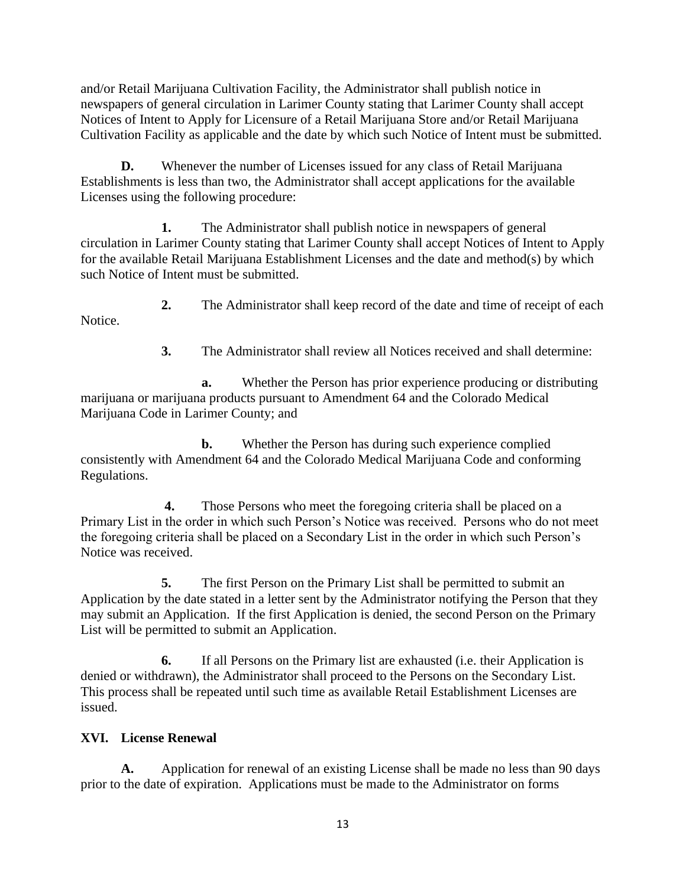and/or Retail Marijuana Cultivation Facility, the Administrator shall publish notice in newspapers of general circulation in Larimer County stating that Larimer County shall accept Notices of Intent to Apply for Licensure of a Retail Marijuana Store and/or Retail Marijuana Cultivation Facility as applicable and the date by which such Notice of Intent must be submitted.

**D.** Whenever the number of Licenses issued for any class of Retail Marijuana Establishments is less than two, the Administrator shall accept applications for the available Licenses using the following procedure:

**1.** The Administrator shall publish notice in newspapers of general circulation in Larimer County stating that Larimer County shall accept Notices of Intent to Apply for the available Retail Marijuana Establishment Licenses and the date and method(s) by which such Notice of Intent must be submitted.

**2.** The Administrator shall keep record of the date and time of receipt of each Notice.

**3.** The Administrator shall review all Notices received and shall determine:

**a.** Whether the Person has prior experience producing or distributing marijuana or marijuana products pursuant to Amendment 64 and the Colorado Medical Marijuana Code in Larimer County; and

**b.** Whether the Person has during such experience complied consistently with Amendment 64 and the Colorado Medical Marijuana Code and conforming Regulations.

Those Persons who meet the foregoing criteria shall be placed on a Notice was received. **4.** Those Persons who meet the foregoing criteria shall be placed on a Primary List in the order in which such Person's Notice was received. Persons who do not meet the foregoing criteria shall be placed on a Secondary List in the order in which such Person's

**5.** The first Person on the Primary List shall be permitted to submit an Application by the date stated in a letter sent by the Administrator notifying the Person that they may submit an Application. If the first Application is denied, the second Person on the Primary List will be permitted to submit an Application.

**6.** If all Persons on the Primary list are exhausted (i.e. their Application is denied or withdrawn), the Administrator shall proceed to the Persons on the Secondary List. This process shall be repeated until such time as available Retail Establishment Licenses are issued.

#### **XVI. License Renewal**

**A.** Application for renewal of an existing License shall be made no less than 90 days prior to the date of expiration. Applications must be made to the Administrator on forms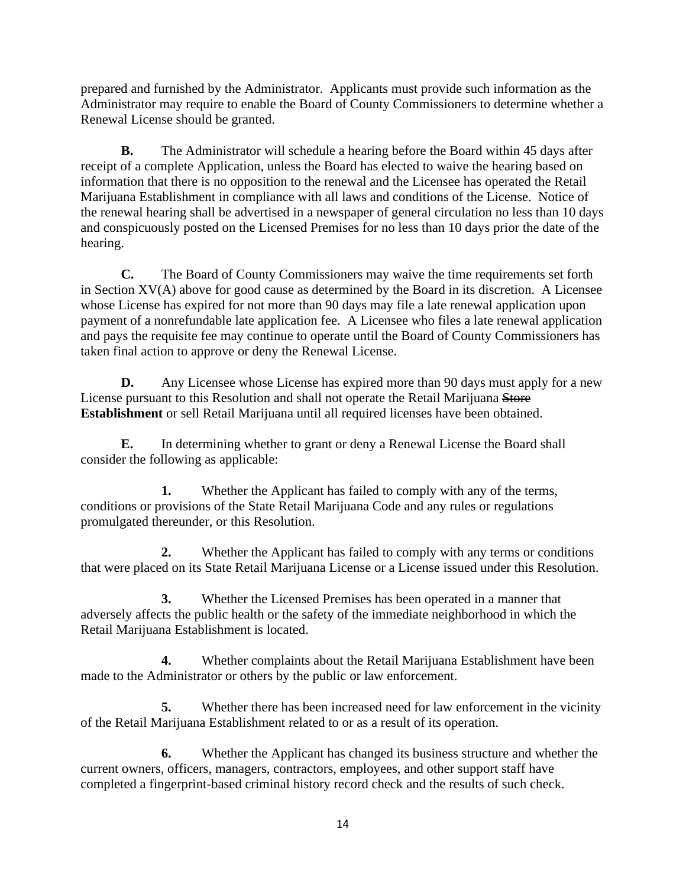prepared and furnished by the Administrator. Applicants must provide such information as the Administrator may require to enable the Board of County Commissioners to determine whether a Renewal License should be granted.

**B.** The Administrator will schedule a hearing before the Board within 45 days after receipt of a complete Application, unless the Board has elected to waive the hearing based on information that there is no opposition to the renewal and the Licensee has operated the Retail Marijuana Establishment in compliance with all laws and conditions of the License. Notice of the renewal hearing shall be advertised in a newspaper of general circulation no less than 10 days and conspicuously posted on the Licensed Premises for no less than 10 days prior the date of the hearing.

**C.** The Board of County Commissioners may waive the time requirements set forth in Section XV(A) above for good cause as determined by the Board in its discretion. A Licensee whose License has expired for not more than 90 days may file a late renewal application upon payment of a nonrefundable late application fee. A Licensee who files a late renewal application and pays the requisite fee may continue to operate until the Board of County Commissioners has taken final action to approve or deny the Renewal License.

**D.** Any Licensee whose License has expired more than 90 days must app<br>License pursuant to this Resolution and shall not operate the Retail Marijuana Store **D.** Any Licensee whose License has expired more than 90 days must apply for a new **Establishment** or sell Retail Marijuana until all required licenses have been obtained.

**E.** In determining whether to grant or deny a Renewal License the Board shall consider the following as applicable:

**1.** Whether the Applicant has failed to comply with any of the terms, conditions or provisions of the State Retail Marijuana Code and any rules or regulations promulgated thereunder, or this Resolution.

**2.** Whether the Applicant has failed to comply with any terms or conditions that were placed on its State Retail Marijuana License or a License issued under this Resolution.

**3.** Whether the Licensed Premises has been operated in a manner that adversely affects the public health or the safety of the immediate neighborhood in which the Retail Marijuana Establishment is located.

**4.** Whether complaints about the Retail Marijuana Establishment have been made to the Administrator or others by the public or law enforcement.

**5.** Whether there has been increased need for law enforcement in the vicinity of the Retail Marijuana Establishment related to or as a result of its operation.

**6.** Whether the Applicant has changed its business structure and whether the current owners, officers, managers, contractors, employees, and other support staff have completed a fingerprint-based criminal history record check and the results of such check.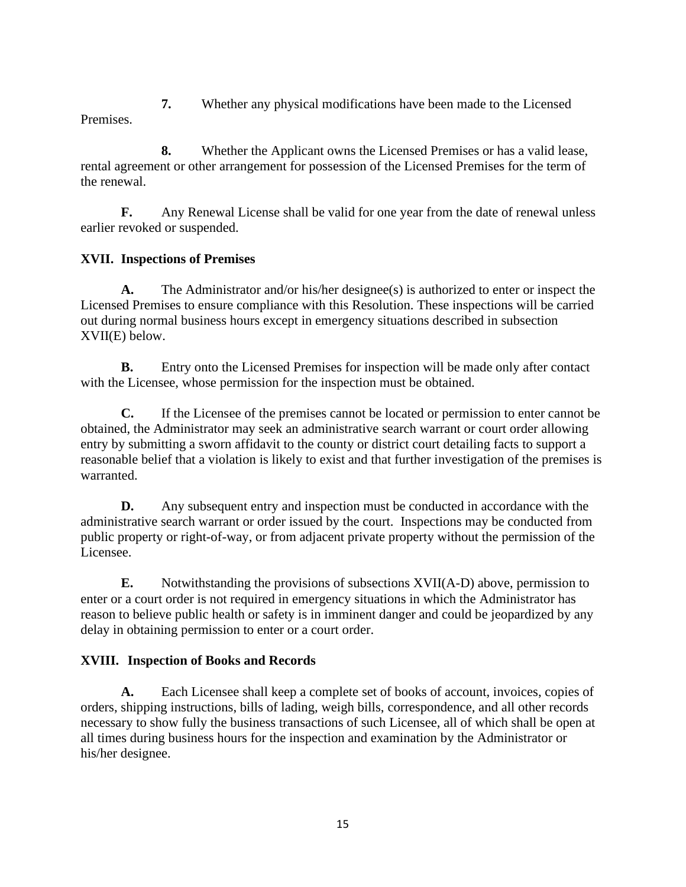**7.** Whether any physical modifications have been made to the Licensed

Premises.

**8.** Whether the Applicant owns the Licensed Premises or has a valid lease, rental agreement or other arrangement for possession of the Licensed Premises for the term of the renewal.

**F.** Any Renewal License shall be valid for one year from the date of renewal unless earlier revoked or suspended.

# **XVII. Inspections of Premises**

**A.** The Administrator and/or his/her designee(s) is authorized to enter or inspect the Licensed Premises to ensure compliance with this Resolution. These inspections will be carried out during normal business hours except in emergency situations described in subsection XVII(E) below.

**B.** Entry onto the Licensed Premises for inspection will be made only after contact with the Licensee, whose permission for the inspection must be obtained.

**C.** If the Licensee of the premises cannot be located or permission to enter cannot be obtained, the Administrator may seek an administrative search warrant or court order allowing entry by submitting a sworn affidavit to the county or district court detailing facts to support a reasonable belief that a violation is likely to exist and that further investigation of the premises is warranted.

**D.** Any subsequent entry and inspection must be conducted in accordance with the administrative search warrant or order issued by the court. Inspections may be conducted from public property or right-of-way, or from adjacent private property without the permission of the Licensee.

**E.** Notwithstanding the provisions of subsections XVII(A-D) above, permission to enter or a court order is not required in emergency situations in which the Administrator has reason to believe public health or safety is in imminent danger and could be jeopardized by any delay in obtaining permission to enter or a court order.

# **XVIII. Inspection of Books and Records**

**A.** Each Licensee shall keep a complete set of books of account, invoices, copies of orders, shipping instructions, bills of lading, weigh bills, correspondence, and all other records necessary to show fully the business transactions of such Licensee, all of which shall be open at all times during business hours for the inspection and examination by the Administrator or his/her designee.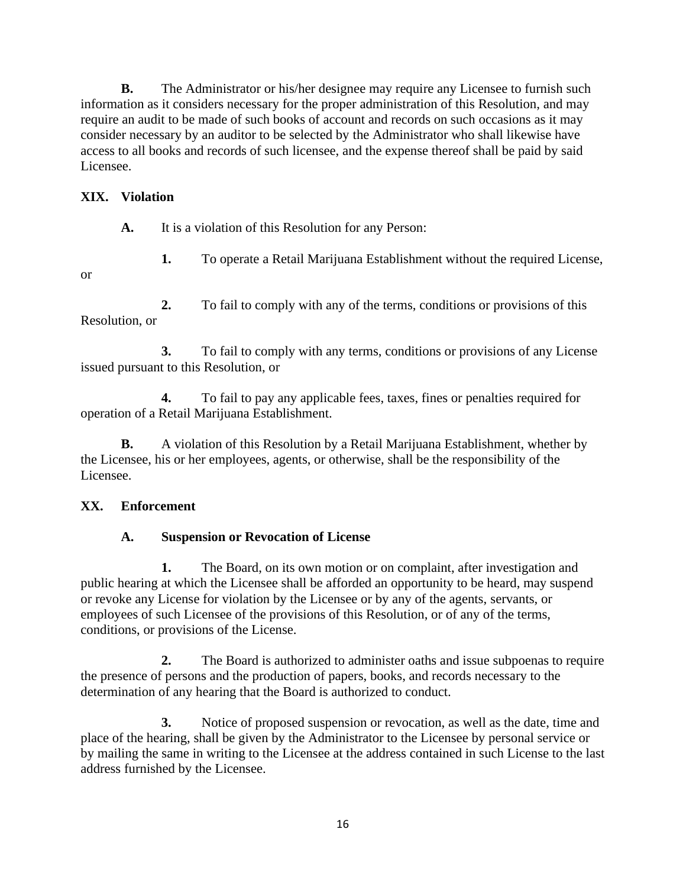**B.** The Administrator or his/her designee may require any Licensee to furnish such information as it considers necessary for the proper administration of this Resolution, and may require an audit to be made of such books of account and records on such occasions as it may consider necessary by an auditor to be selected by the Administrator who shall likewise have access to all books and records of such licensee, and the expense thereof shall be paid by said Licensee.

### **XIX. Violation**

**A.** It is a violation of this Resolution for any Person:

- 
- **1.** To operate a Retail Marijuana Establishment without the required License,
- or

**2.** To fail to comply with any of the terms, conditions or provisions of this Resolution, or

**3.** To fail to comply with any terms, conditions or provisions of any License issued pursuant to this Resolution, or

**4.** To fail to pay any applicable fees, taxes, fines or penalties required for operation of a Retail Marijuana Establishment.

**B.** A violation of this Resolution by a Retail Marijuana Establishment, whether by the Licensee, his or her employees, agents, or otherwise, shall be the responsibility of the Licensee.

# **XX. Enforcement**

# **A. Suspension or Revocation of License**

**1.** The Board, on its own motion or on complaint, after investigation and public hearing at which the Licensee shall be afforded an opportunity to be heard, may suspend or revoke any License for violation by the Licensee or by any of the agents, servants, or employees of such Licensee of the provisions of this Resolution, or of any of the terms, conditions, or provisions of the License.

**2.** The Board is authorized to administer oaths and issue subpoenas to require the presence of persons and the production of papers, books, and records necessary to the determination of any hearing that the Board is authorized to conduct.

**3.** Notice of proposed suspension or revocation, as well as the date, time and place of the hearing, shall be given by the Administrator to the Licensee by personal service or by mailing the same in writing to the Licensee at the address contained in such License to the last address furnished by the Licensee.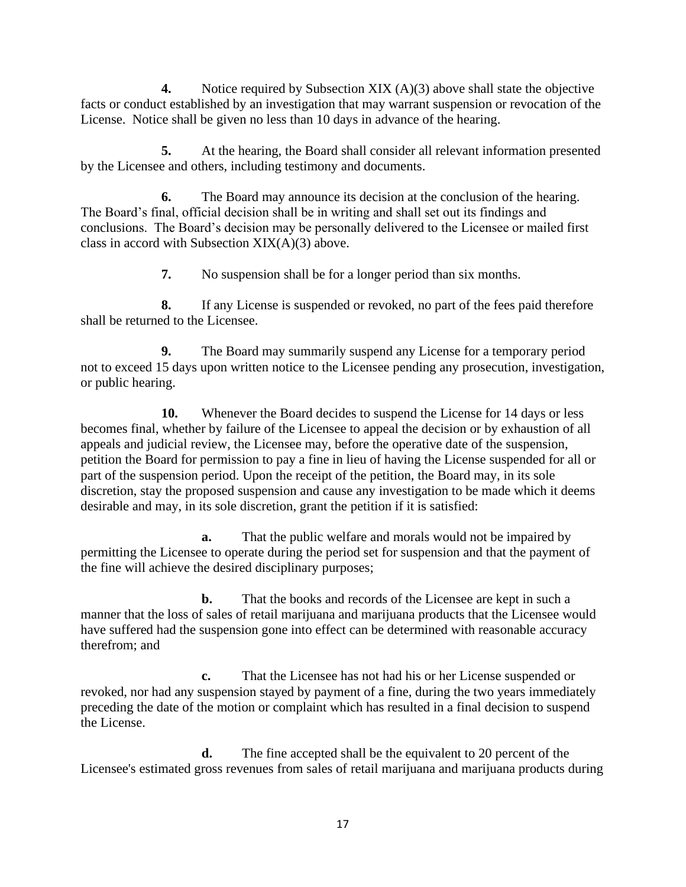**4.** Notice required by Subsection XIX (A)(3) above shall state the objective facts or conduct established by an investigation that may warrant suspension or revocation of the License. Notice shall be given no less than 10 days in advance of the hearing.

**5.** At the hearing, the Board shall consider all relevant information presented by the Licensee and others, including testimony and documents.

**6.** The Board may announce its decision at the conclusion of the hearing. The Board's final, official decision shall be in writing and shall set out its findings and conclusions. The Board's decision may be personally delivered to the Licensee or mailed first class in accord with Subsection  $XIX(A)(3)$  above.

**7.** No suspension shall be for a longer period than six months.

**8.** If any License is suspended or revoked, no part of the fees paid therefore shall be returned to the Licensee.

 or public hearing. **9.** The Board may summarily suspend any License for a temporary period not to exceed 15 days upon written notice to the Licensee pending any prosecution, investigation,

**10.** Whenever the Board decides to suspend the License for 14 days or less becomes final, whether by failure of the Licensee to appeal the decision or by exhaustion of all appeals and judicial review, the Licensee may, before the operative date of the suspension, petition the Board for permission to pay a fine in lieu of having the License suspended for all or part of the suspension period. Upon the receipt of the petition, the Board may, in its sole discretion, stay the proposed suspension and cause any investigation to be made which it deems desirable and may, in its sole discretion, grant the petition if it is satisfied:

**a.** That the public welfare and morals would not be impaired by permitting the Licensee to operate during the period set for suspension and that the payment of the fine will achieve the desired disciplinary purposes;

**b.** That the books and records of the Licensee are kept in such a manner that the loss of sales of retail marijuana and marijuana products that the Licensee would have suffered had the suspension gone into effect can be determined with reasonable accuracy therefrom; and

 the License. **c.** That the Licensee has not had his or her License suspended or revoked, nor had any suspension stayed by payment of a fine, during the two years immediately preceding the date of the motion or complaint which has resulted in a final decision to suspend

**d.** The fine accepted shall be the equivalent to 20 percent of the Licensee's estimated gross revenues from sales of retail marijuana and marijuana products during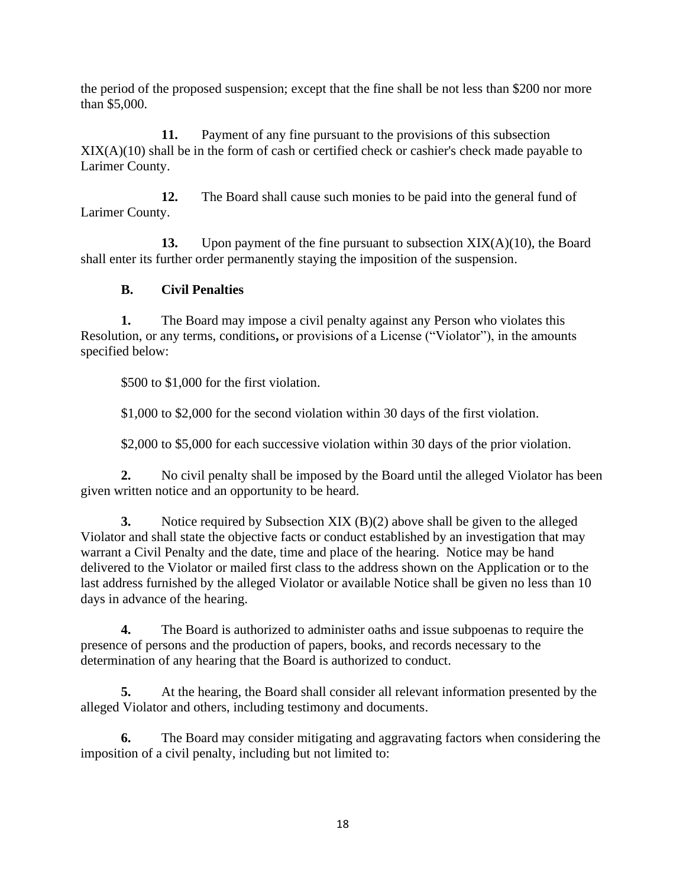the period of the proposed suspension; except that the fine shall be not less than \$200 nor more than \$5,000.

**11.** Payment of any fine pursuant to the provisions of this subsection XIX(A)(10) shall be in the form of cash or certified check or cashier's check made payable to Larimer County.

**12.** The Board shall cause such monies to be paid into the general fund of Larimer County.

**13.** Upon payment of the fine pursuant to subsection XIX(A)(10), the Board shall enter its further order permanently staying the imposition of the suspension.

# **B. Civil Penalties**

**1.** The Board may impose a civil penalty against any Person who violates this Resolution, or any terms, conditions**,** or provisions of a License ("Violator"), in the amounts specified below:

\$500 to \$1,000 for the first violation.

\$1,000 to \$2,000 for the second violation within 30 days of the first violation.

\$2,000 to \$5,000 for each successive violation within 30 days of the prior violation.

**2.** No civil penalty shall be imposed by the Board until the alleged Violator has been given written notice and an opportunity to be heard.

**3.** Notice required by Subsection XIX (B)(2) above shall be given to the alleged Violator and shall state the objective facts or conduct established by an investigation that may warrant a Civil Penalty and the date, time and place of the hearing. Notice may be hand delivered to the Violator or mailed first class to the address shown on the Application or to the last address furnished by the alleged Violator or available Notice shall be given no less than 10 days in advance of the hearing.

**4.** The Board is authorized to administer oaths and issue subpoenas to require the presence of persons and the production of papers, books, and records necessary to the determination of any hearing that the Board is authorized to conduct.

**5.** At the hearing, the Board shall consider all relevant information presented by the alleged Violator and others, including testimony and documents.

**6.** The Board may consider mitigating and aggravating factors when considering the imposition of a civil penalty, including but not limited to: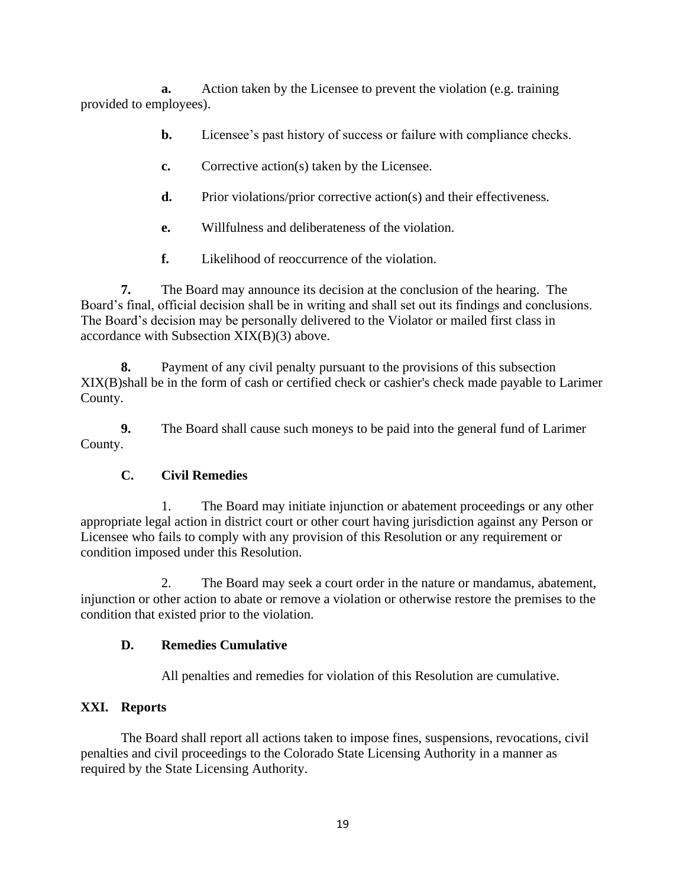**a.** Action taken by the Licensee to prevent the violation (e.g. training provided to employees).

- **b.** Licensee's past history of success or failure with compliance checks.
- **c.** Corrective action(s) taken by the Licensee.
- **d.** Prior violations/prior corrective action(s) and their effectiveness.
- **e.** Willfulness and deliberateness of the violation.
- **f.** Likelihood of reoccurrence of the violation.

**7.** The Board may announce its decision at the conclusion of the hearing. The Board's final, official decision shall be in writing and shall set out its findings and conclusions. The Board's decision may be personally delivered to the Violator or mailed first class in accordance with Subsection XIX(B)(3) above.

**8.** Payment of any civil penalty pursuant to the provisions of this subsection XIX(B)shall be in the form of cash or certified check or cashier's check made payable to Larimer County.

**9.** The Board shall cause such moneys to be paid into the general fund of Larimer County.

# **C. Civil Remedies**

1. The Board may initiate injunction or abatement proceedings or any other appropriate legal action in district court or other court having jurisdiction against any Person or Licensee who fails to comply with any provision of this Resolution or any requirement or condition imposed under this Resolution.

2. The Board may seek a court order in the nature or mandamus, abatement, injunction or other action to abate or remove a violation or otherwise restore the premises to the condition that existed prior to the violation.

# **D. Remedies Cumulative**

All penalties and remedies for violation of this Resolution are cumulative.

# **XXI. Reports**

The Board shall report all actions taken to impose fines, suspensions, revocations, civil penalties and civil proceedings to the Colorado State Licensing Authority in a manner as required by the State Licensing Authority.